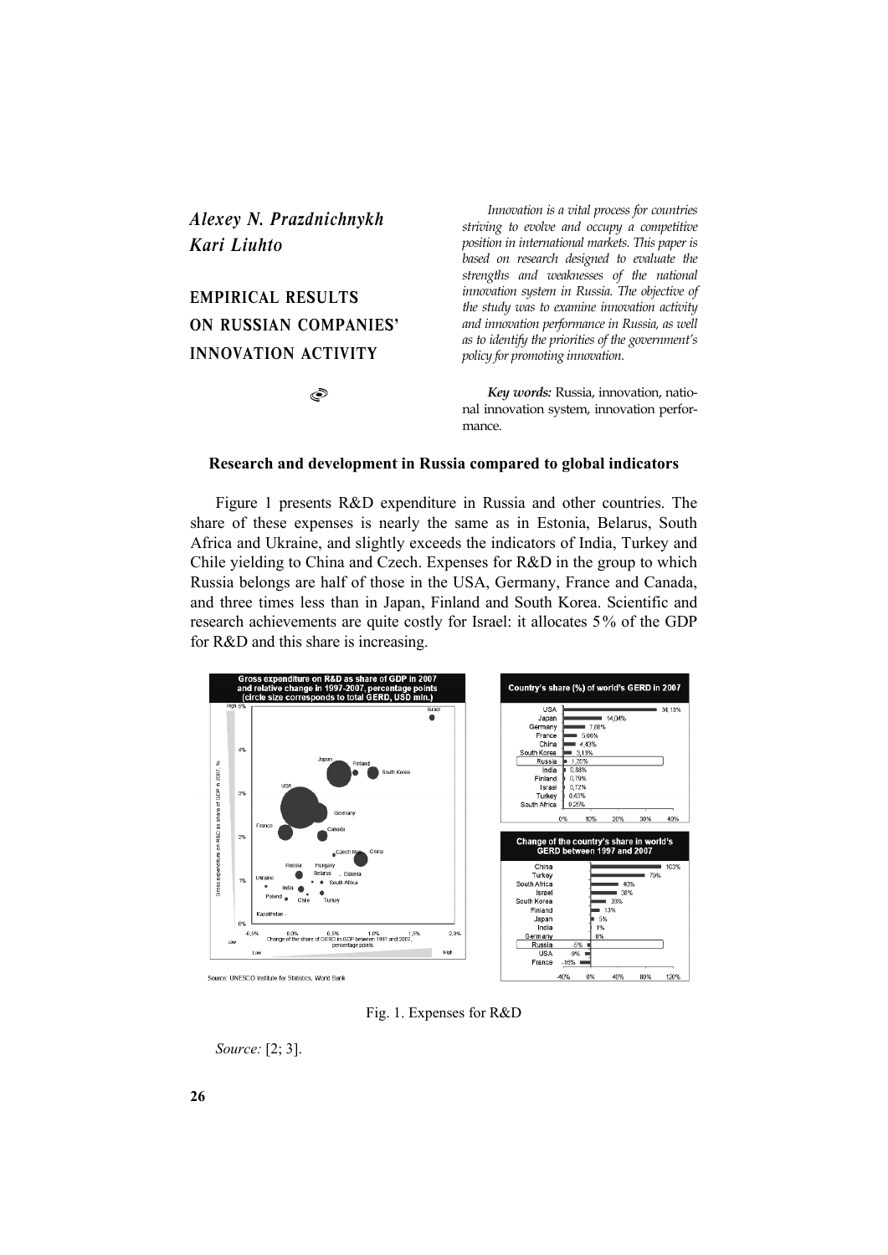## *Alexey N. Prazdnichnykh Kari Liuhto*

# **EMPIRICAL RESULTS ON RUSSIAN COMPANIES' INNOVATION ACTIVITY**

S

*Innovation is a vital process for countries striving to evolve and occupy a competitive position in international markets. This paper is based on research designed to evaluate the strengths and weaknesses of the national innovation system in Russia. The objective of the study was to examine innovation activity and innovation performance in Russia, as well as to identify the priorities of the government's policy for promoting innovation.*

*Key words:* Russia, innovation, national innovation system, innovation performance.

### **Research and development in Russia compared to global indicators**

Figure 1 presents R&D expenditure in Russia and other countries. The share of these expenses is nearly the same as in Estonia, Belarus, South Africa and Ukraine, and slightly exceeds the indicators of India, Turkey and Chile yielding to China and Czech. Expenses for R&D in the group to which Russia belongs are half of those in the USA, Germany, France and Canada, and three times less than in Japan, Finland and South Korea. Scientific and research achievements are quite costly for Israel: it allocates 5% of the GDP for R&D and this share is increasing.



Fig. 1. Expenses for R&D

*Source:* [2; 3].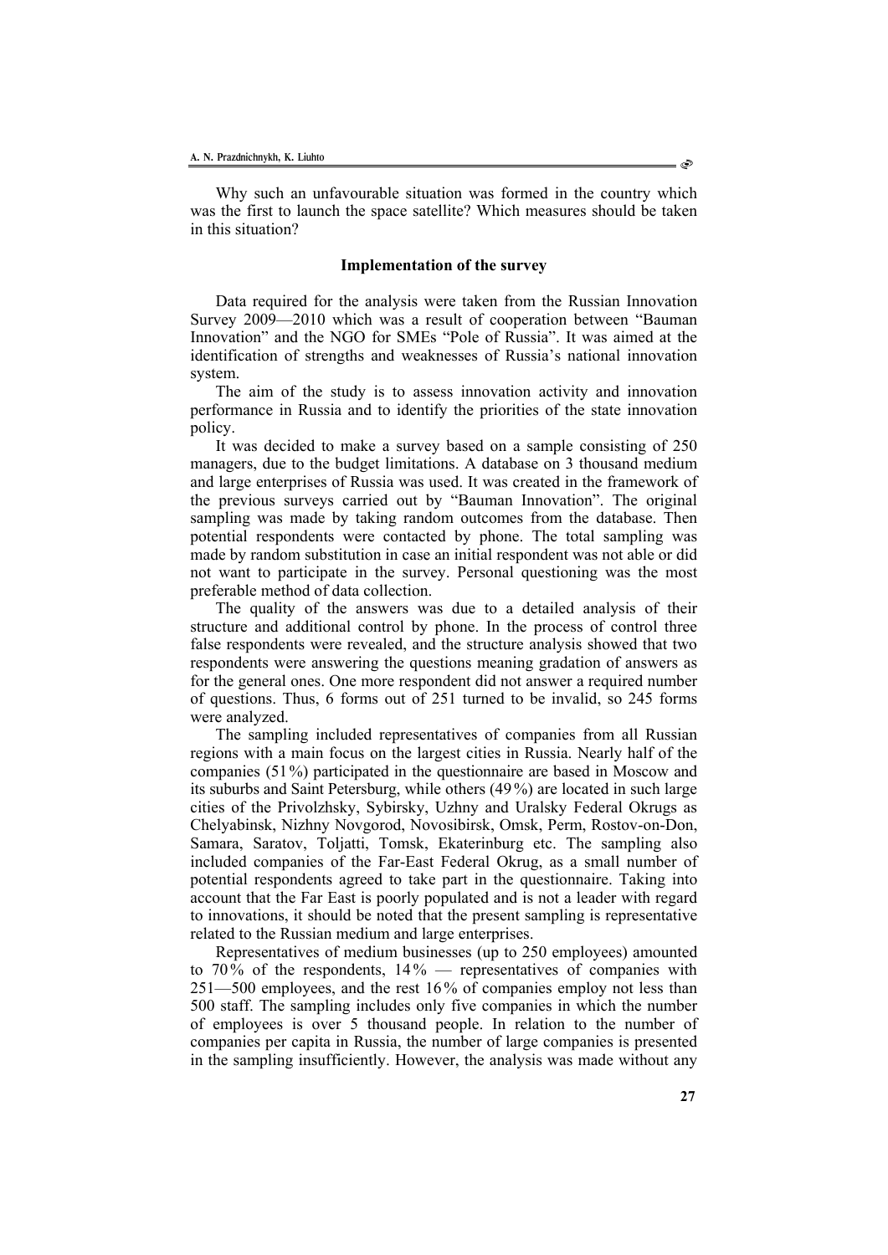Why such an unfavourable situation was formed in the country which was the first to launch the space satellite? Which measures should be taken in this situation?

#### **Implementation of the survey**

Data required for the analysis were taken from the Russian Innovation Survey 2009—2010 which was a result of cooperation between "Bauman Innovation" and the NGO for SMEs "Pole of Russia". It was aimed at the identification of strengths and weaknesses of Russia's national innovation system.

The aim of the study is to assess innovation activity and innovation performance in Russia and to identify the priorities of the state innovation policy.

It was decided to make a survey based on a sample consisting of 250 managers, due to the budget limitations. A database on 3 thousand medium and large enterprises of Russia was used. It was created in the framework of the previous surveys carried out by "Bauman Innovation". The original sampling was made by taking random outcomes from the database. Then potential respondents were contacted by phone. The total sampling was made by random substitution in case an initial respondent was not able or did not want to participate in the survey. Personal questioning was the most preferable method of data collection.

The quality of the answers was due to a detailed analysis of their structure and additional control by phone. In the process of control three false respondents were revealed, and the structure analysis showed that two respondents were answering the questions meaning gradation of answers as for the general ones. One more respondent did not answer a required number of questions. Thus, 6 forms out of 251 turned to be invalid, so 245 forms were analyzed.

The sampling included representatives of companies from all Russian regions with a main focus on the largest cities in Russia. Nearly half of the companies (51%) participated in the questionnaire are based in Moscow and its suburbs and Saint Petersburg, while others (49 %) are located in such large cities of the Privolzhsky, Sybirsky, Uzhny and Uralsky Federal Okrugs as Chelyabinsk, Nizhny Novgorod, Novosibirsk, Omsk, Perm, Rostov-on-Don, Samara, Saratov, Toljatti, Tomsk, Ekaterinburg etc. The sampling also included companies of the Far-East Federal Okrug, as a small number of potential respondents agreed to take part in the questionnaire. Taking into account that the Far East is poorly populated and is not a leader with regard to innovations, it should be noted that the present sampling is representative related to the Russian medium and large enterprises.

Representatives of medium businesses (up to 250 employees) amounted to 70% of the respondents,  $14\%$  — representatives of companies with 251—500 employees, and the rest 16% of companies employ not less than 500 staff. The sampling includes only five companies in which the number of employees is over 5 thousand people. In relation to the number of companies per capita in Russia, the number of large companies is presented in the sampling insufficiently. However, the analysis was made without any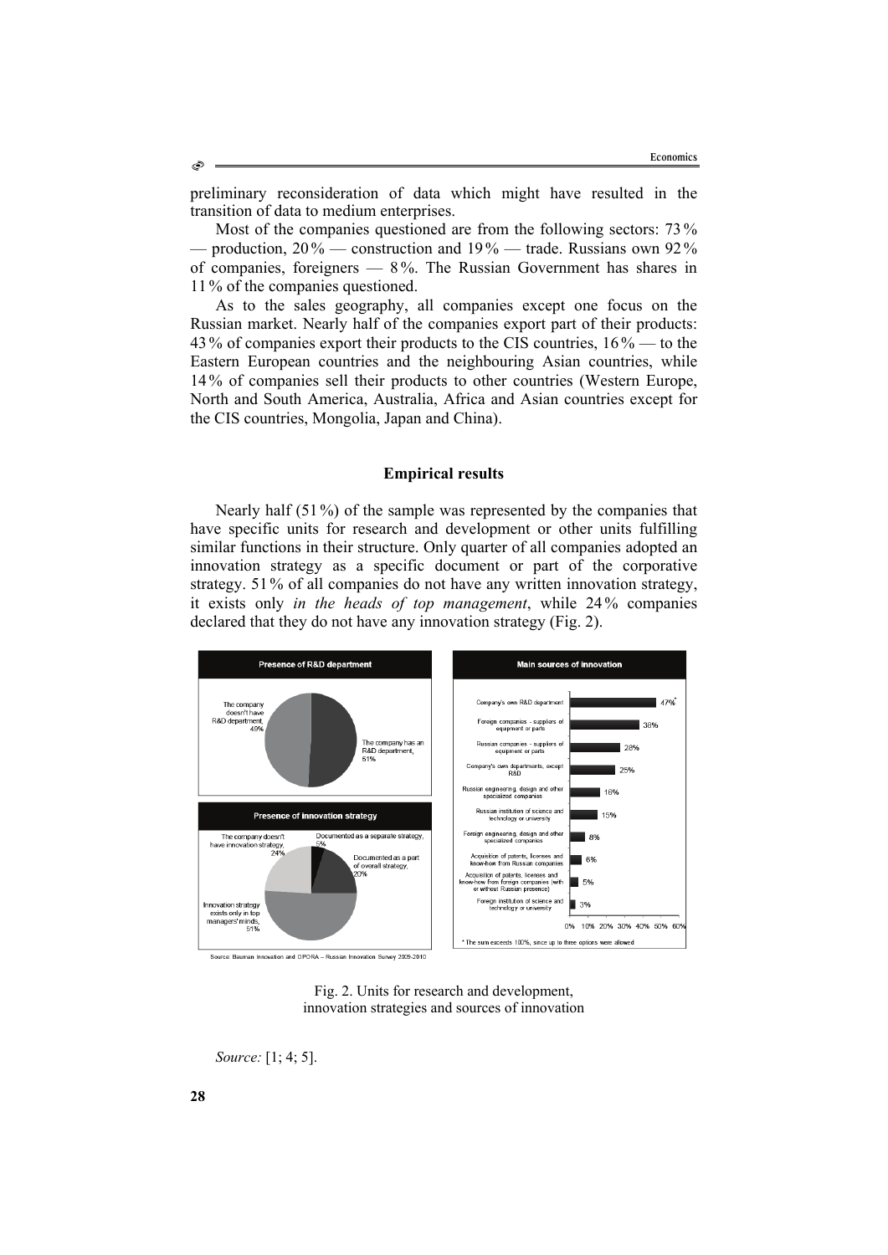preliminary reconsideration of data which might have resulted in the transition of data to medium enterprises.

Most of the companies questioned are from the following sectors:  $73\%$ — production, 20 % — construction and 19% — trade. Russians own 92% of companies, foreigners — 8 %. The Russian Government has shares in 11 % of the companies questioned.

As to the sales geography, all companies except one focus on the Russian market. Nearly half of the companies export part of their products: 43 % of companies export their products to the CIS countries, 16 % — to the Eastern European countries and the neighbouring Asian countries, while 14 % of companies sell their products to other countries (Western Europe, North and South America, Australia, Africa and Asian countries except for the CIS countries, Mongolia, Japan and China).

#### **Empirical results**

Nearly half (51%) of the sample was represented by the companies that have specific units for research and development or other units fulfilling similar functions in their structure. Only quarter of all companies adopted an innovation strategy as a specific document or part of the corporative strategy. 51% of all companies do not have any written innovation strategy, it exists only *in the heads of top management*, while 24% companies declared that they do not have any innovation strategy (Fig. 2).





*Source:* [1; 4; 5].

Ò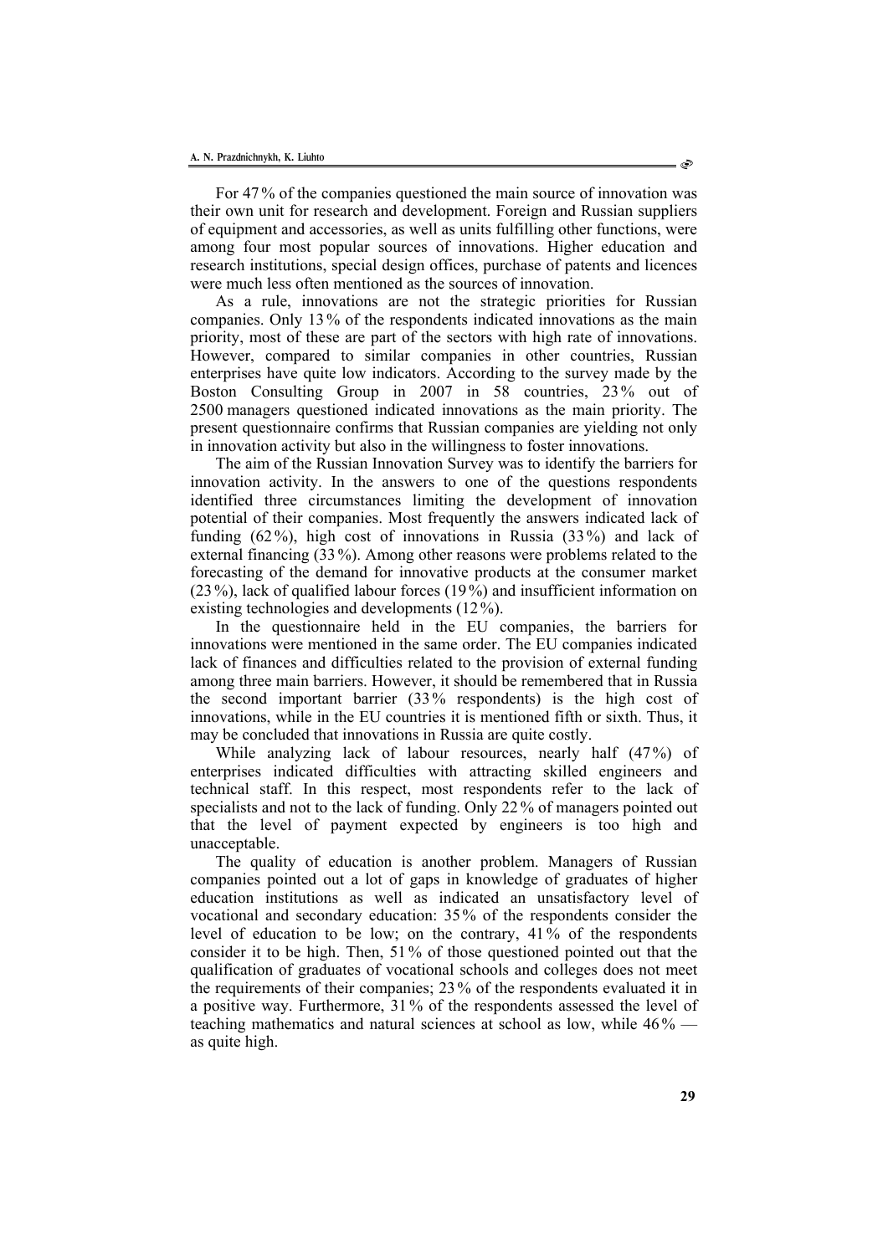For 47 % of the companies questioned the main source of innovation was their own unit for research and development. Foreign and Russian suppliers of equipment and accessories, as well as units fulfilling other functions, were among four most popular sources of innovations. Higher education and research institutions, special design offices, purchase of patents and licences were much less often mentioned as the sources of innovation.

As a rule, innovations are not the strategic priorities for Russian companies. Only 13 % of the respondents indicated innovations as the main priority, most of these are part of the sectors with high rate of innovations. However, compared to similar companies in other countries, Russian enterprises have quite low indicators. According to the survey made by the Boston Consulting Group in 2007 in 58 countries, 23% out of 2500 managers questioned indicated innovations as the main priority. The present questionnaire confirms that Russian companies are yielding not only in innovation activity but also in the willingness to foster innovations.

The aim of the Russian Innovation Survey was to identify the barriers for innovation activity. In the answers to one of the questions respondents identified three circumstances limiting the development of innovation potential of their companies. Most frequently the answers indicated lack of funding (62%), high cost of innovations in Russia (33%) and lack of external financing (33%). Among other reasons were problems related to the forecasting of the demand for innovative products at the consumer market (23 %), lack of qualified labour forces (19 %) and insufficient information on existing technologies and developments (12%).

In the questionnaire held in the EU companies, the barriers for innovations were mentioned in the same order. The EU companies indicated lack of finances and difficulties related to the provision of external funding among three main barriers. However, it should be remembered that in Russia the second important barrier (33% respondents) is the high cost of innovations, while in the EU countries it is mentioned fifth or sixth. Thus, it may be concluded that innovations in Russia are quite costly.

While analyzing lack of labour resources, nearly half (47%) of enterprises indicated difficulties with attracting skilled engineers and technical staff. In this respect, most respondents refer to the lack of specialists and not to the lack of funding. Only 22 % of managers pointed out that the level of payment expected by engineers is too high and unacceptable.

The quality of education is another problem. Managers of Russian companies pointed out a lot of gaps in knowledge of graduates of higher education institutions as well as indicated an unsatisfactory level of vocational and secondary education: 35% of the respondents consider the level of education to be low; on the contrary, 41 % of the respondents consider it to be high. Then, 51% of those questioned pointed out that the qualification of graduates of vocational schools and colleges does not meet the requirements of their companies; 23 % of the respondents evaluated it in a positive way. Furthermore, 31 % of the respondents assessed the level of teaching mathematics and natural sciences at school as low, while 46% as quite high.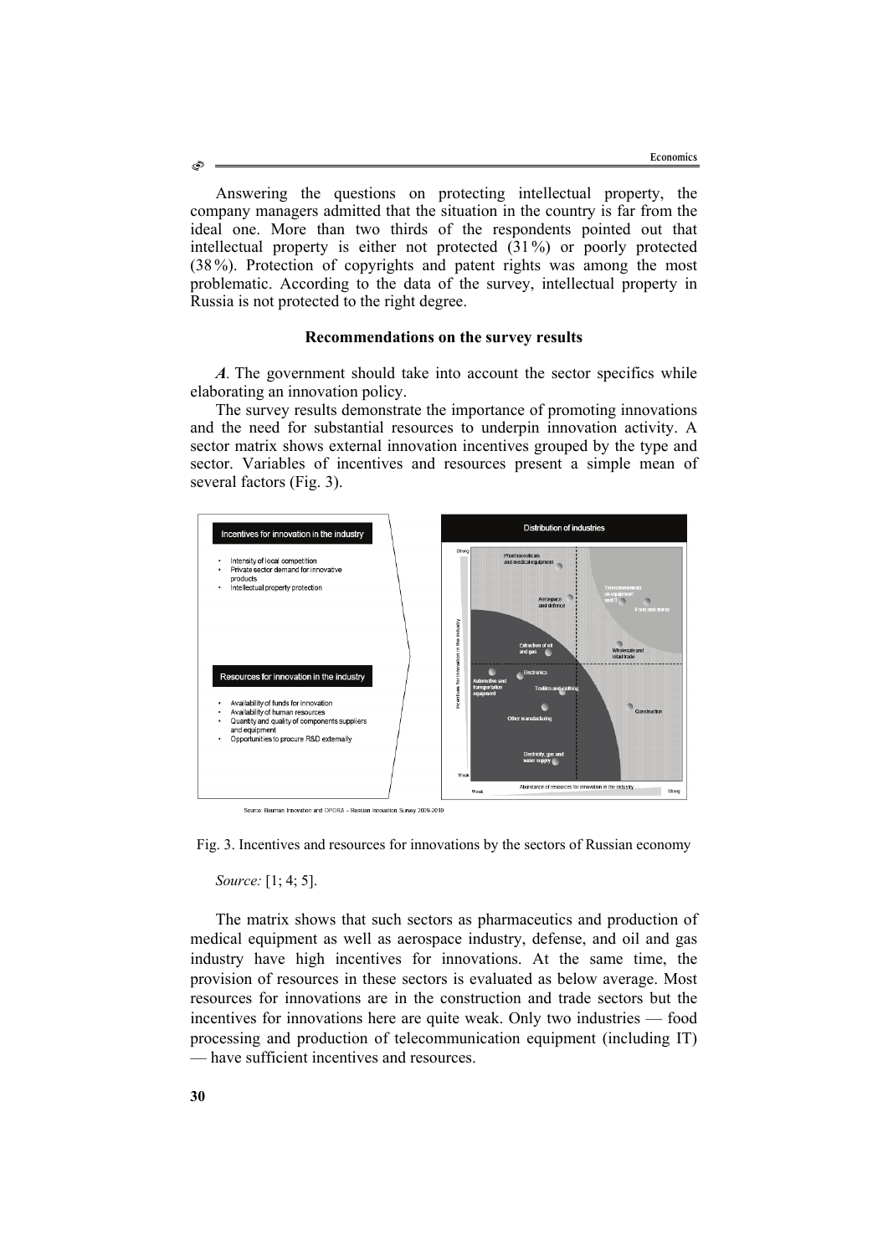Answering the questions on protecting intellectual property, the company managers admitted that the situation in the country is far from the ideal one. More than two thirds of the respondents pointed out that intellectual property is either not protected (31%) or poorly protected (38 %). Protection of copyrights and patent rights was among the most problematic. According to the data of the survey, intellectual property in Russia is not protected to the right degree.

#### **Recommendations on the survey results**

*A*. The government should take into account the sector specifics while elaborating an innovation policy.

The survey results demonstrate the importance of promoting innovations and the need for substantial resources to underpin innovation activity. A sector matrix shows external innovation incentives grouped by the type and sector. Variables of incentives and resources present a simple mean of several factors (Fig. 3).



Fig. 3. Incentives and resources for innovations by the sectors of Russian economy

*Source:* [1; 4; 5].

The matrix shows that such sectors as pharmaceutics and production of medical equipment as well as aerospace industry, defense, and oil and gas industry have high incentives for innovations. At the same time, the provision of resources in these sectors is evaluated as below average. Most resources for innovations are in the construction and trade sectors but the incentives for innovations here are quite weak. Only two industries — food processing and production of telecommunication equipment (including IT) — have sufficient incentives and resources.

O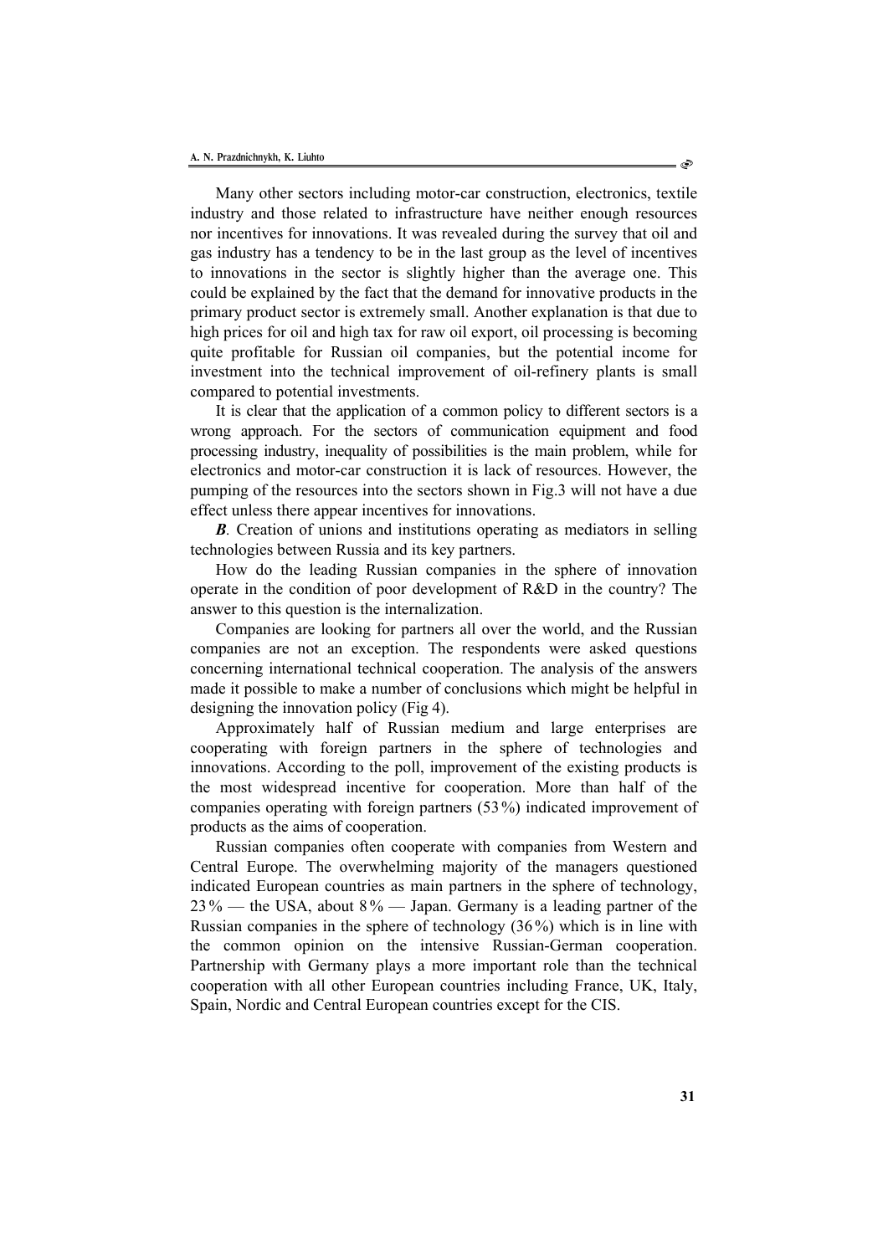Many other sectors including motor-car construction, electronics, textile industry and those related to infrastructure have neither enough resources nor incentives for innovations. It was revealed during the survey that oil and gas industry has a tendency to be in the last group as the level of incentives to innovations in the sector is slightly higher than the average one. This could be explained by the fact that the demand for innovative products in the primary product sector is extremely small. Another explanation is that due to high prices for oil and high tax for raw oil export, oil processing is becoming quite profitable for Russian oil companies, but the potential income for investment into the technical improvement of oil-refinery plants is small compared to potential investments.

It is clear that the application of a common policy to different sectors is a wrong approach. For the sectors of communication equipment and food processing industry, inequality of possibilities is the main problem, while for electronics and motor-car construction it is lack of resources. However, the pumping of the resources into the sectors shown in Fig.3 will not have a due effect unless there appear incentives for innovations.

*B*. Creation of unions and institutions operating as mediators in selling technologies between Russia and its key partners.

How do the leading Russian companies in the sphere of innovation operate in the condition of poor development of R&D in the country? The answer to this question is the internalization.

Companies are looking for partners all over the world, and the Russian companies are not an exception. The respondents were asked questions concerning international technical cooperation. The analysis of the answers made it possible to make a number of conclusions which might be helpful in designing the innovation policy (Fig 4).

Approximately half of Russian medium and large enterprises are cooperating with foreign partners in the sphere of technologies and innovations. According to the poll, improvement of the existing products is the most widespread incentive for cooperation. More than half of the companies operating with foreign partners (53%) indicated improvement of products as the aims of cooperation.

Russian companies often cooperate with companies from Western and Central Europe. The overwhelming majority of the managers questioned indicated European countries as main partners in the sphere of technology,  $23\%$  — the USA, about  $8\%$  — Japan. Germany is a leading partner of the Russian companies in the sphere of technology (36%) which is in line with the common opinion on the intensive Russian-German cooperation. Partnership with Germany plays a more important role than the technical cooperation with all other European countries including France, UK, Italy, Spain, Nordic and Central European countries except for the CIS.

- එ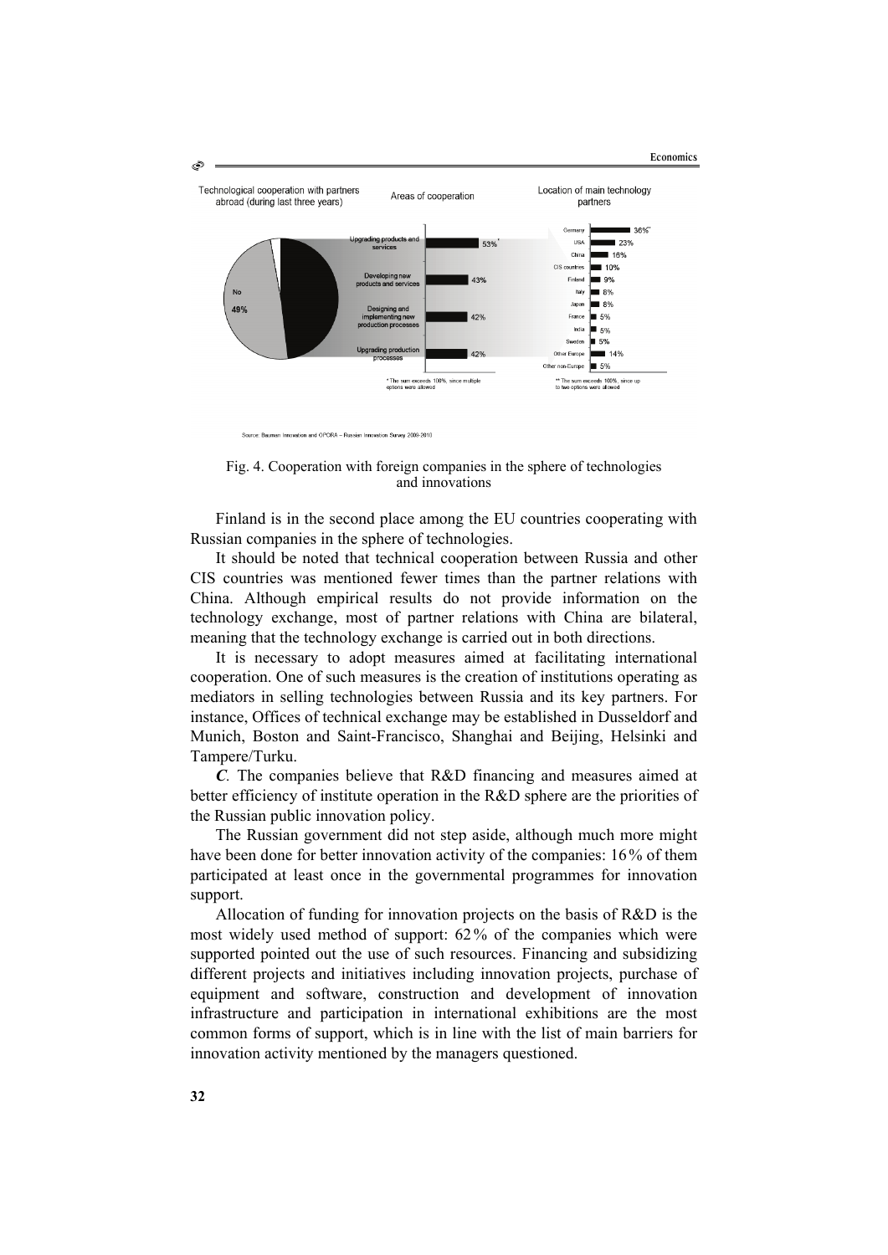

Source: Bauman Innovation and OPORA - Russian Innovation Survey 2009-2010

Fig. 4. Cooperation with foreign companies in the sphere of technologies and innovations

Finland is in the second place among the EU countries cooperating with Russian companies in the sphere of technologies.

It should be noted that technical cooperation between Russia and other CIS countries was mentioned fewer times than the partner relations with China. Although empirical results do not provide information on the technology exchange, most of partner relations with China are bilateral, meaning that the technology exchange is carried out in both directions.

It is necessary to adopt measures aimed at facilitating international cooperation. One of such measures is the creation of institutions operating as mediators in selling technologies between Russia and its key partners. For instance, Offices of technical exchange may be established in Dusseldorf and Munich, Boston and Saint-Francisco, Shanghai and Beijing, Helsinki and Tampere/Turku.

*С.* The companies believe that R&D financing and measures aimed at better efficiency of institute operation in the R&D sphere are the priorities of the Russian public innovation policy.

The Russian government did not step aside, although much more might have been done for better innovation activity of the companies: 16% of them participated at least once in the governmental programmes for innovation support.

Allocation of funding for innovation projects on the basis of R&D is the most widely used method of support: 62% of the companies which were supported pointed out the use of such resources. Financing and subsidizing different projects and initiatives including innovation projects, purchase of equipment and software, construction and development of innovation infrastructure and participation in international exhibitions are the most common forms of support, which is in line with the list of main barriers for innovation activity mentioned by the managers questioned.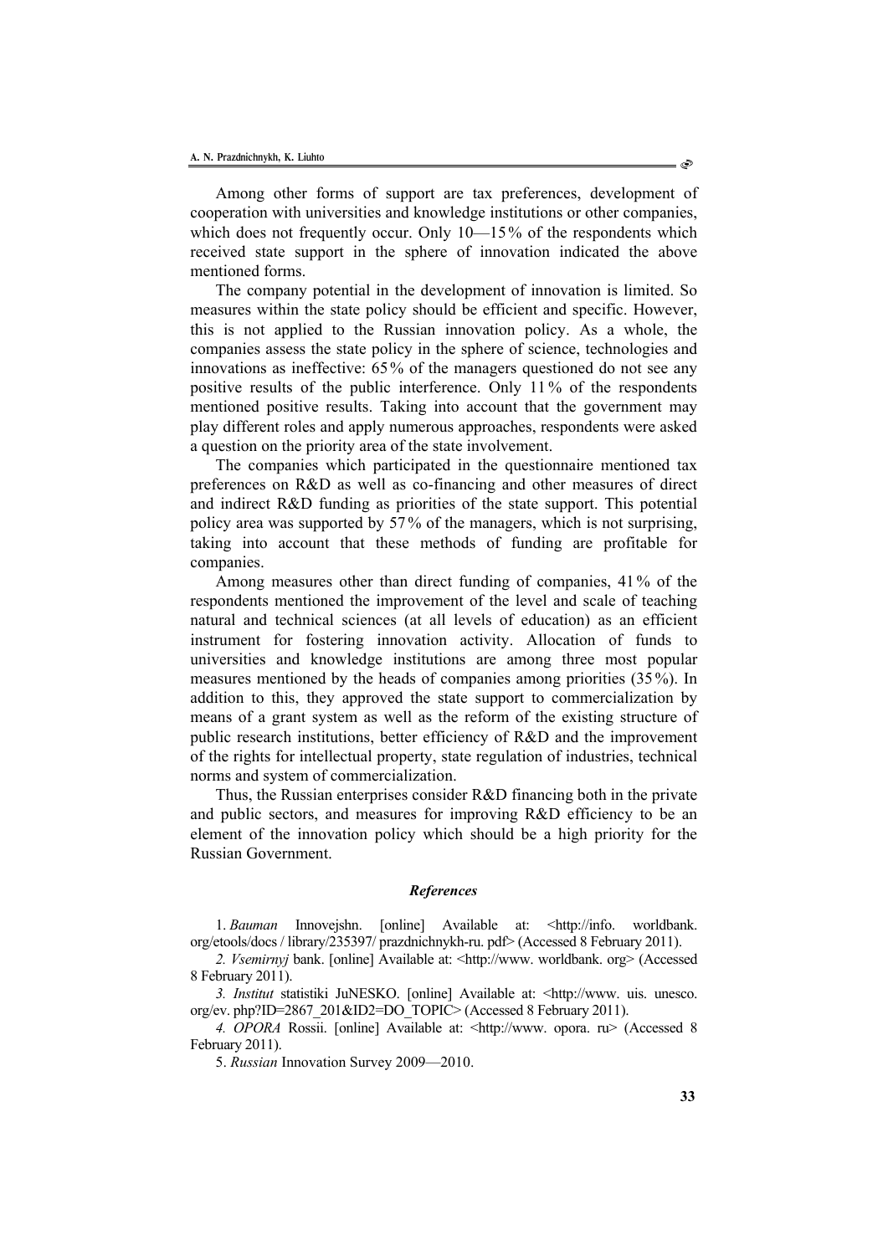Among other forms of support are tax preferences, development of cooperation with universities and knowledge institutions or other companies, which does not frequently occur. Only  $10-15%$  of the respondents which received state support in the sphere of innovation indicated the above mentioned forms.

The company potential in the development of innovation is limited. So measures within the state policy should be efficient and specific. However, this is not applied to the Russian innovation policy. As a whole, the companies assess the state policy in the sphere of science, technologies and innovations as ineffective: 65% of the managers questioned do not see any positive results of the public interference. Only 11 % of the respondents mentioned positive results. Taking into account that the government may play different roles and apply numerous approaches, respondents were asked a question on the priority area of the state involvement.

The companies which participated in the questionnaire mentioned tax preferences on R&D as well as co-financing and other measures of direct and indirect R&D funding as priorities of the state support. This potential policy area was supported by 57 % of the managers, which is not surprising, taking into account that these methods of funding are profitable for companies.

Among measures other than direct funding of companies, 41% of the respondents mentioned the improvement of the level and scale of teaching natural and technical sciences (at all levels of education) as an efficient instrument for fostering innovation activity. Allocation of funds to universities and knowledge institutions are among three most popular measures mentioned by the heads of companies among priorities (35 %). In addition to this, they approved the state support to commercialization by means of a grant system as well as the reform of the existing structure of public research institutions, better efficiency of R&D and the improvement of the rights for intellectual property, state regulation of industries, technical norms and system of commercialization.

Thus, the Russian enterprises consider R&D financing both in the private and public sectors, and measures for improving R&D efficiency to be an element of the innovation policy which should be a high priority for the Russian Government.

#### *References*

1. *Bauman* Innovejshn. [online] Available at: <http://info. worldbank. org/etools/docs / library/235397/ prazdnichnykh-ru. pdf> (Accessed 8 February 2011).

*2. Vsemirnyj* bank. [online] Available at: <http://www. worldbank. org> (Accessed 8 February 2011).

*3. Institut* statistiki JuNESKO. [online] Available at: <http://www. uis. unesco. org/ev. php?ID=2867\_201&ID2=DO\_TOPIC> (Accessed 8 February 2011).

*4. OPORA* Rossii. [online] Available at: <http://www. opora. ru> (Accessed 8 February 2011).

5. *Russian* Innovation Survey 2009—2010.